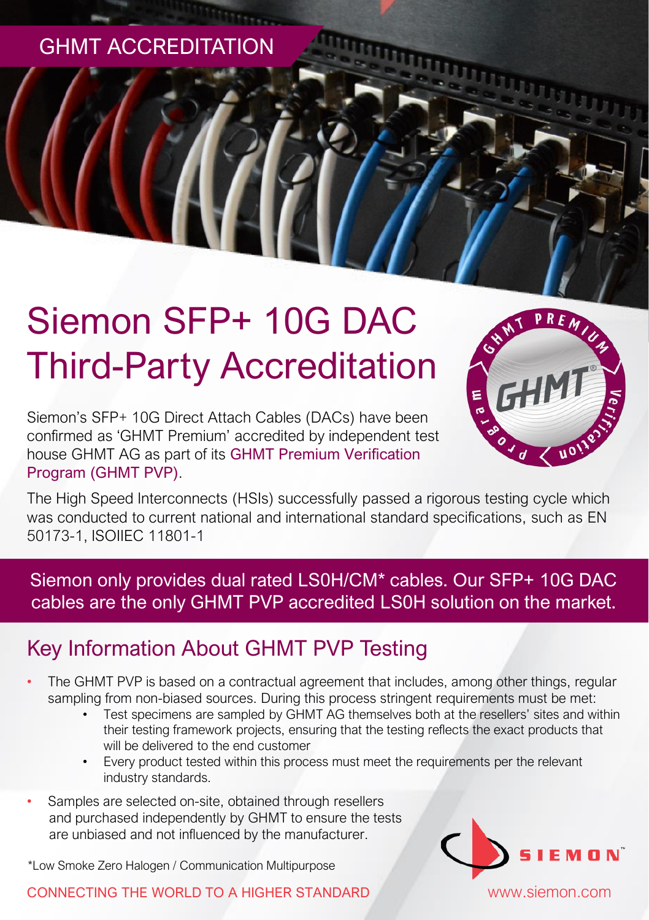GHMT ACCREDITATION

# Siemon SFP+ 10G DAC Third-Party Accreditation

Siemon's SFP+ 10G Direct Attach Cables (DACs) have been confirmed as 'GHMT Premium' accredited by independent test house GHMT AG as part of its GHMT Premium Verification Program (GHMT PVP).



The High Speed Interconnects (HSIs) successfully passed a rigorous testing cycle which was conducted to current national and international standard specifications, such as EN 50173-1, ISOIIEC 11801-1

Siemon only provides dual rated LS0H/CM\* cables. Our SFP+ 10G DAC cables are the only GHMT PVP accredited LS0H solution on the market.

## Key Information About GHMT PVP Testing

- The GHMT PVP is based on a contractual agreement that includes, among other things, regular sampling from non-biased sources. During this process stringent requirements must be met:
	- Test specimens are sampled by GHMT AG themselves both at the resellers' sites and within their testing framework projects, ensuring that the testing reflects the exact products that will be delivered to the end customer
	- Every product tested within this process must meet the requirements per the relevant industry standards.
- Samples are selected on-site, obtained through resellers and purchased independently by GHMT to ensure the tests are unbiased and not influenced by the manufacturer.

\*Low Smoke Zero Halogen / Communication Multipurpose

#### CONNECTING THE WORLD TO A HIGHER STANDARD